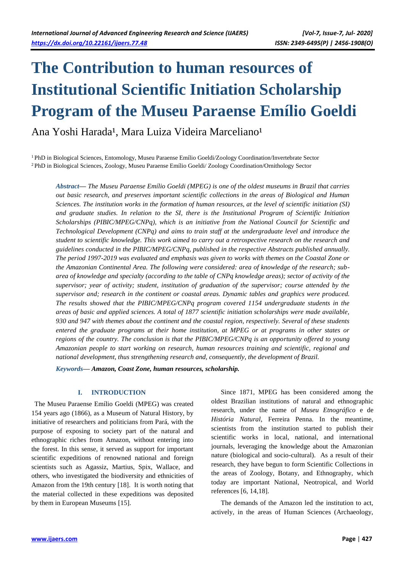# **The Contribution to human resources of Institutional Scientific Initiation Scholarship Program of the Museu Paraense Emílio Goeldi**

# Ana Yoshi Harada<sup>1</sup>, Mara Luiza Videira Marceliano<sup>1</sup>

<sup>1</sup>PhD in Biological Sciences, Entomology, Museu Paraense Emílio Goeldi/Zoology Coordination/Invertebrate Sector <sup>2</sup>PhD in Biological Sciences, Zoology, Museu Paraense Emílio Goeldi/ Zoology Coordination/Ornithology Sector

*Abstract***—** *The Museu Paraense Emílio Goeldi (MPEG) is one of the oldest museums in Brazil that carries out basic research, and preserves important scientific collections in the areas of Biological and Human Sciences. The institution works in the formation of human resources, at the level of scientific initiation (SI) and graduate studies. In relation to the SI, there is the Institutional Program of Scientific Initiation Scholarships (PIBIC/MPEG/CNPq), which is an initiative from the National Council for Scientific and Technological Development (CNPq) and aims to train staff at the undergraduate level and introduce the student to scientific knowledge. This work aimed to carry out a retrospective research on the research and guidelines conducted in the PIBIC/MPEG/CNPq, published in the respective Abstracts published annually. The period 1997-2019 was evaluated and emphasis was given to works with themes on the Coastal Zone or the Amazonian Continental Area. The following were considered: area of knowledge of the research; subarea of knowledge and specialty (according to the table of CNPq knowledge areas); sector of activity of the supervisor; year of activity; student, institution of graduation of the supervisor; course attended by the supervisor and; research in the continent or coastal areas. Dynamic tables and graphics were produced. The results showed that the PIBIC/MPEG/CNPq program covered 1154 undergraduate students in the areas of basic and applied sciences. A total of 1877 scientific initiation scholarships were made available, 930 and 947 with themes about the continent and the coastal region, respectively. Several of these students entered the graduate programs at their home institution, at MPEG or at programs in other states or regions of the country. The conclusion is that the PIBIC/MPEG/CNPq is an opportunity offered to young Amazonian people to start working on research, human resources training and scientific, regional and national development, thus strengthening research and, consequently, the development of Brazil.*

*Keywords***—** *Amazon, Coast Zone, human resources, scholarship.*

# **I. INTRODUCTION**

The Museu Paraense Emílio Goeldi (MPEG) was created 154 years ago (1866), as a Museum of Natural History, by initiative of researchers and politicians from Pará, with the purpose of exposing to society part of the natural and ethnographic riches from Amazon, without entering into the forest. In this sense, it served as support for important scientific expeditions of renowned national and foreign scientists such as Agassiz, Martius, Spix, Wallace, and others, who investigated the biodiversity and ethnicities of Amazon from the 19th century [18]. It is worth noting that the material collected in these expeditions was deposited by them in European Museums [15].

Since 1871, MPEG has been considered among the oldest Brazilian institutions of natural and ethnographic research, under the name of *Museu Etnográfico* e de *História Natural*, Ferreira Penna. In the meantime, scientists from the institution started to publish their scientific works in local, national, and international journals, leveraging the knowledge about the Amazonian nature (biological and socio-cultural). As a result of their research, they have begun to form Scientific Collections in the areas of Zoology, Botany, and Ethnography, which today are important National, Neotropical, and World references [6, 14,18].

The demands of the Amazon led the institution to act, actively, in the areas of Human Sciences (Archaeology,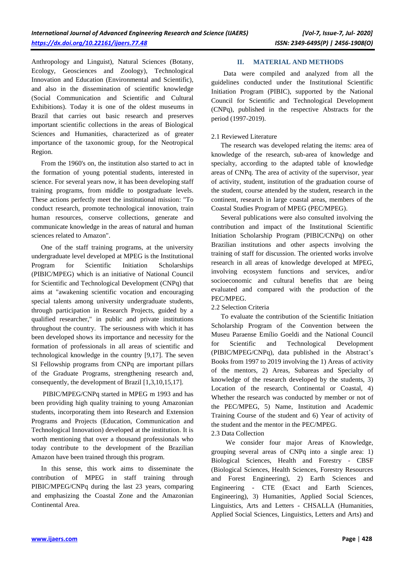Anthropology and Linguist), Natural Sciences (Botany, Ecology, Geosciences and Zoology), Technological Innovation and Education (Environmental and Scientific), and also in the dissemination of scientific knowledge (Social Communication and Scientific and Cultural Exhibitions). Today it is one of the oldest museums in Brazil that carries out basic research and preserves important scientific collections in the areas of Biological Sciences and Humanities, characterized as of greater importance of the taxonomic group, for the Neotropical Region.

From the 1960's on, the institution also started to act in the formation of young potential students, interested in science. For several years now, it has been developing staff training programs, from middle to postgraduate levels. These actions perfectly meet the institutional mission: "To conduct research, promote technological innovation, train human resources, conserve collections, generate and communicate knowledge in the areas of natural and human sciences related to Amazon".

One of the staff training programs, at the university undergraduate level developed at MPEG is the Institutional Program for Scientific Initiation Scholarships (PIBIC/MPEG) which is an initiative of National Council for Scientific and Technological Development (CNPq) that aims at "awakening scientific vocation and encouraging special talents among university undergraduate students, through participation in Research Projects, guided by a qualified researcher," in public and private institutions throughout the country. The seriousness with which it has been developed shows its importance and necessity for the formation of professionals in all areas of scientific and technological knowledge in the country [9,17]. The seven SI Fellowship programs from CNPq are important pillars of the Graduate Programs, strengthening research and, consequently, the development of Brazil [1,3,10,15,17].

PIBIC/MPEG/CNPq started in MPEG m 1993 and has been providing high quality training to young Amazonian students, incorporating them into Research and Extension Programs and Projects (Education, Communication and Technological Innovation) developed at the institution. It is worth mentioning that over a thousand professionals who today contribute to the development of the Brazilian Amazon have been trained through this program.

In this sense, this work aims to disseminate the contribution of MPEG in staff training through PIBIC/MPEG/CNPq during the last 23 years, comparing and emphasizing the Coastal Zone and the Amazonian Continental Area.

## **II. MATERIAL AND METHODS**

Data were compiled and analyzed from all the guidelines conducted under the Institutional Scientific Initiation Program (PIBIC), supported by the National Council for Scientific and Technological Development (CNPq), published in the respective Abstracts for the period (1997-2019).

#### 2.1 Reviewed Literature

The research was developed relating the items: area of knowledge of the research, sub-area of knowledge and specialty, according to the adapted table of knowledge areas of CNPq. The area of activity of the supervisor, year of activity, student, institution of the graduation course of the student, course attended by the student, research in the continent, research in large coastal areas, members of the Coastal Studies Program of MPEG (PEC/MPEG).

Several publications were also consulted involving the contribution and impact of the Institutional Scientific Initiation Scholarship Program (PIBIC/CNPq) on other Brazilian institutions and other aspects involving the training of staff for discussion. The oriented works involve research in all areas of knowledge developed at MPEG, involving ecosystem functions and services, and/or socioeconomic and cultural benefits that are being evaluated and compared with the production of the PEC/MPEG.

## 2.2 Selection Criteria

To evaluate the contribution of the Scientific Initiation Scholarship Program of the Convention between the Museu Paraense Emílio Goeldi and the National Council for Scientific and Technological Development (PIBIC/MPEG/CNPq), data published in the Abstract's Books from 1997 to 2019 involving the 1) Areas of activity of the mentors, 2) Areas, Subareas and Specialty of knowledge of the research developed by the students, 3) Location of the research, Continental or Coastal, 4) Whether the research was conducted by member or not of the PEC/MPEG, 5) Name, Institution and Academic Training Course of the student and 6) Year of activity of the student and the mentor in the PEC/MPEG.

#### 2.3 Data Collection

We consider four major Areas of Knowledge, grouping several areas of CNPq into a single area: 1) Biological Sciences, Health and Forestry - CBSF (Biological Sciences, Health Sciences, Forestry Resources and Forest Engineering), 2) Earth Sciences and Engineering - CTE (Exact and Earth Sciences, Engineering), 3) Humanities, Applied Social Sciences, Linguistics, Arts and Letters - CHSALLA (Humanities, Applied Social Sciences, Linguistics, Letters and Arts) and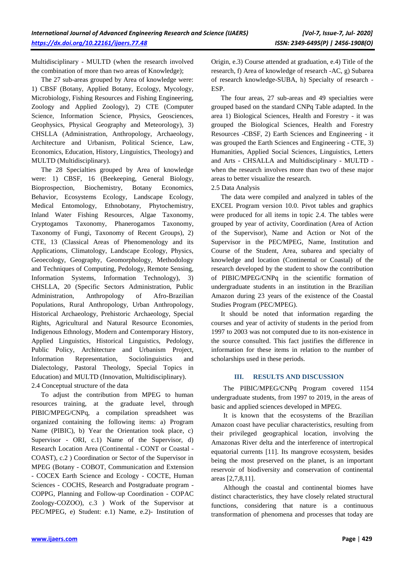Multidisciplinary - MULTD (when the research involved the combination of more than two areas of Knowledge);

The 27 sub-areas grouped by Area of knowledge were: 1) CBSF (Botany, Applied Botany, Ecology, Mycology, Microbiology, Fishing Resources and Fishing Engineering, Zoology and Applied Zoology), 2) CTE (Computer Science, Information Science, Physics, Geosciences, Geophysics, Physical Geography and Meteorology), 3) CHSLLA (Administration, Anthropology, Archaeology, Architecture and Urbanism, Political Science, Law, Economics, Education, History, Linguistics, Theology) and MULTD (Multidisciplinary).

The 28 Specialties grouped by Area of knowledge were: 1) CBSF, 16 (Beekeeping, General Biology, Bioprospection, Biochemistry, Botany Economics, Behavior, Ecosystems Ecology, Landscape Ecology, Medical Entomology, Ethnobotany, Phytochemistry, Inland Water Fishing Resources, Algae Taxonomy, Cryptogamos Taxonomy, Phanerogamos Taxonomy, Taxonomy of Fungi, Taxonomy of Recent Groups), 2) CTE, 13 (Classical Areas of Phenomenology and its Applications, Climatology, Landscape Ecology, Physics, Geoecology, Geography, Geomorphology, Methodology and Techniques of Computing, Pedology, Remote Sensing, Information Systems, Information Technology), 3) CHSLLA, 20 (Specific Sectors Administration, Public Administration, Anthropology of Afro-Brazilian Populations, Rural Anthropology, Urban Anthropology, Historical Archaeology, Prehistoric Archaeology, Special Rights, Agricultural and Natural Resource Economies, Indigenous Ethnology, Modern and Contemporary History, Applied Linguistics, Historical Linguistics, Pedology, Public Policy, Architecture and Urbanism Project, Information Representation, Sociolinguistics and Dialectology, Pastoral Theology, Special Topics in Education) and MULTD (Innovation, Multidisciplinary). 2.4 Conceptual structure of the data

To adjust the contribution from MPEG to human resources training, at the graduate level, through PIBIC/MPEG/CNPq, a compilation spreadsheet was organized containing the following items: a) Program Name (PIBIC), b) Year the Orientation took place, c) Supervisor - ORI, c.1) Name of the Supervisor, d) Research Location Area (Continental - CONT or Coastal - COAST), c.2 ) Coordination or Sector of the Supervisor in MPEG (Botany - COBOT, Communication and Extension - COCEX Earth Science and Ecology - COCTE, Human Sciences - COCHS, Research and Postgraduate program - COPPG, Planning and Follow-up Coordination - COPAC Zoology-COZOO), c.3 ) Work of the Supervisor at PEC/MPEG, e) Student: e.1) Name, e.2)- Institution of Origin, e.3) Course attended at graduation, e.4) Title of the research, f) Area of knowledge of research -AC, g) Subarea of research knowledge-SUBA, h) Specialty of research - ESP.

The four areas, 27 sub-areas and 49 specialties were grouped based on the standard CNPq Table adapted. In the area 1) Biological Sciences, Health and Forestry - it was grouped the Biological Sciences, Health and Forestry Resources -CBSF, 2) Earth Sciences and Engineering - it was grouped the Earth Sciences and Engineering - CTE, 3) Humanities, Applied Social Sciences, Linguistics, Letters and Arts - CHSALLA and Multidisciplinary - MULTD when the research involves more than two of these major areas to better visualize the research.

## 2.5 Data Analysis

The data were compiled and analyzed in tables of the EXCEL Program version 10.0. Pivot tables and graphics were produced for all items in topic 2.4. The tables were grouped by year of activity, Coordination (Area of Action of the Supervisor), Name and Action or Not of the Supervisor in the PEC/MPEG, Name, Institution and Course of the Student, Area, subarea and specialty of knowledge and location (Continental or Coastal) of the research developed by the student to show the contribution of PIBIC/MPEG/CNPq in the scientific formation of undergraduate students in an institution in the Brazilian Amazon during 23 years of the existence of the Coastal Studies Program (PEC/MPEG).

It should be noted that information regarding the courses and year of activity of students in the period from 1997 to 2003 was not computed due to its non-existence in the source consulted. This fact justifies the difference in information for these items in relation to the number of scholarships used in these periods.

#### **III. RESULTS AND DISCUSSION**

The PIBIC/MPEG/CNPq Program covered 1154 undergraduate students, from 1997 to 2019, in the areas of basic and applied sciences developed in MPEG.

It is known that the ecosystems of the Brazilian Amazon coast have peculiar characteristics, resulting from their privileged geographical location, involving the Amazonas River delta and the interference of intertropical equatorial currents [11]. Its mangrove ecosystem, besides being the most preserved on the planet, is an important reservoir of biodiversity and conservation of continental areas [2,7,8,11].

Although the coastal and continental biomes have distinct characteristics, they have closely related structural functions, considering that nature is a continuous transformation of phenomena and processes that today are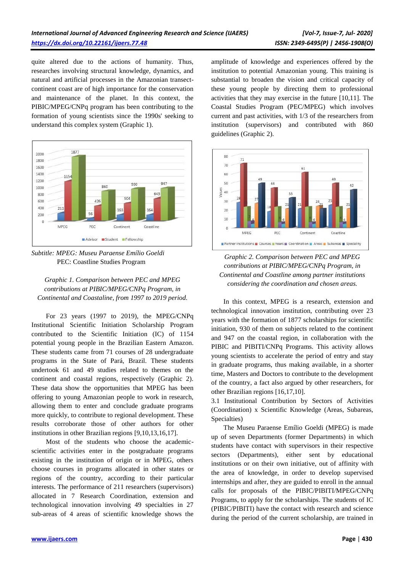quite altered due to the actions of humanity. Thus, researches involving structural knowledge, dynamics, and natural and artificial processes in the Amazonian transectcontinent coast are of high importance for the conservation and maintenance of the planet. In this context, the PIBIC/MPEG/CNPq program has been contributing to the formation of young scientists since the 1990s' seeking to understand this complex system (Graphic 1).





*Graphic 1. Comparison between PEC and MPEG contributions at PIBIC/MPEG/CNPq Program, in Continental and Coastaline, from 1997 to 2019 period.*

For 23 years (1997 to 2019), the MPEG/CNPq Institutional Scientific Initiation Scholarship Program contributed to the Scientific Initiation (IC) of 1154 potential young people in the Brazilian Eastern Amazon. These students came from 71 courses of 28 undergraduate programs in the State of Pará, Brazil. These students undertook 61 and 49 studies related to themes on the continent and coastal regions, respectively (Graphic 2). These data show the opportunities that MPEG has been offering to young Amazonian people to work in research, allowing them to enter and conclude graduate programs more quickly, to contribute to regional development. These results corroborate those of other authors for other institutions in other Brazilian regions [9,10,13,16,17].

Most of the students who choose the academicscientific activities enter in the postgraduate programs existing in the institution of origin or in MPEG, others choose courses in programs allocated in other states or regions of the country, according to their particular interests. The performance of 211 researchers (supervisors) allocated in 7 Research Coordination, extension and technological innovation involving 49 specialties in 27 sub-areas of 4 areas of scientific knowledge shows the amplitude of knowledge and experiences offered by the institution to potential Amazonian young. This training is substantial to broaden the vision and critical capacity of these young people by directing them to professional activities that they may exercise in the future [10,11]. The Coastal Studies Program (PEC/MPEG) which involves current and past activities, with 1/3 of the researchers from institution (supervisors) and contributed with 860 guidelines (Graphic 2).



*Graphic 2. Comparison between PEC and MPEG contributions at PIBIC/MPEG/CNPq Program, in Continental and Coastline among partner institutions considering the coordination and chosen areas.*

In this context, MPEG is a research, extension and technological innovation institution, contributing over 23 years with the formation of 1877 scholarships for scientific initiation, 930 of them on subjects related to the continent and 947 on the coastal region, in collaboration with the PIBIC and PIBITI/CNPq Programs. This activity allows young scientists to accelerate the period of entry and stay in graduate programs, thus making available, in a shorter time, Masters and Doctors to contribute to the development of the country, a fact also argued by other researchers, for other Brazilian regions [16,17,10].

3.1 Institutional Contribution by Sectors of Activities (Coordination) x Scientific Knowledge (Areas, Subareas, Specialties)

The Museu Paraense Emílio Goeldi (MPEG) is made up of seven Departments (former Departments) in which students have contact with supervisors in their respective sectors (Departments), either sent by educational institutions or on their own initiative, out of affinity with the area of knowledge, in order to develop supervised internships and after, they are guided to enroll in the annual calls for proposals of the PIBIC/PIBITI/MPEG/CNPq Programs, to apply for the scholarships. The students of IC (PIBIC/PIBITI) have the contact with research and science during the period of the current scholarship, are trained in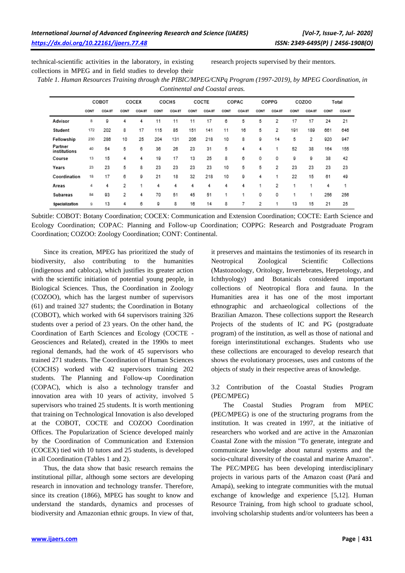technical-scientific activities in the laboratory, in existing collections in MPEG and in field studies to develop their

research projects supervised by their mentors.

*Table 1. Human Resources Training through the PIBIC/MPEG/CNPq Program (1997-2019), by MPEG Coordination, in Continental and Coastal areas.*

|                         | COBOT |        | COCEX |        | COCHS |              | COCTE |       | COPAC |       | COPPG |        | COZOO |              | Total |        |
|-------------------------|-------|--------|-------|--------|-------|--------------|-------|-------|-------|-------|-------|--------|-------|--------------|-------|--------|
|                         | CONT  | COA 8T | CONT  | COA 8T | CONT  | <b>COAST</b> | CONT  | COAST | CONT  | COAST | CONT  | COA 8T | CONT  | <b>COAST</b> | CONT  | COA 8T |
| Advisor                 | 8     | 9      | 4     | 4      | 11    | 11           | 11    | 17    | 6     | 5     | 5     | 2      | 17    | 17           | 24    | 21     |
| Student                 | 172   | 202    | 8     | 17     | 115   | 85           | 151   | 141   | 11    | 16    | 5     | 2      | 191   | 189          | 661   | 646    |
| Fellowship              | 230   | 286    | 10    | 25     | 204   | 131          | 206   | 218   | 10    | 8     | g     | 14     | 5     | 2            | 920   | 947    |
| Partner<br>institutions | 40    | 54     | 5     | 6      | 36    | 26           | 23    | 31    | 5     | 4     | 4     | 1      | 52    | 38           | 164   | 155    |
| Course                  | 13    | 15     | 4     | 4      | 19    | 17           | 13    | 25    | 8     | 6     | 0     | 0      | 9     | õ            | 38    | 42     |
| Years                   | 23    | 23     | 5     | 8      | 23    | 23           | 23    | 23    | 10    | 5     | 5     | 2      | 23    | 23           | 23    | 23     |
| Coordination            | 18    | 17     | 6     | 9      | 21    | 18           | 32    | 218   | 10    | 9     | 4     | 1      | 22    | 15           | 61    | 49     |
| Areas                   | 4     | 4      | 2     | 1      | 4     | 4            | 4     | 4     | 4     | 4     | 1     | 2      |       | 1            | 4     | 1      |
| Subareas                | 84    | 93     | 2     | 4      | 70    | 51           | 45    | 51    |       | 1     | 0     | 0      |       | 1            | 256   | 256    |
| Specialization          | 9     | 13     | 4     | 6      | 9     | 8            | 16    | 14    | 8     | 7     | 2     | 1      | 13    | 15           | 21    | 25     |

Subtitle: COBOT: Botany Coordination; COCEX: Communication and Extension Coordination; COCTE: Earth Science and Ecology Coordination; COPAC: Planning and Follow-up Coordination; COPPG: Research and Postgraduate Program Coordination; COZOO: Zoology Coordination; CONT: Continental.

Since its creation, MPEG has prioritized the study of biodiversity, also contributing to the humanities (indigenous and cabloca), which justifies its greater action with the scientific initiation of potential young people, in Biological Sciences. Thus, the Coordination in Zoology (COZOO), which has the largest number of supervisors (61) and trained 327 students; the Coordination in Botany (COBOT), which worked with 64 supervisors training 326 students over a period of 23 years. On the other hand, the Coordination of Earth Sciences and Ecology (COCTE - Geosciences and Related), created in the 1990s to meet regional demands, had the work of 45 supervisors who trained 271 students. The Coordination of Human Sciences (COCHS) worked with 42 supervisors training 202 students. The Planning and Follow-up Coordination (COPAC), which is also a technology transfer and innovation area with 10 years of activity, involved 5 supervisors who trained 25 students. It is worth mentioning that training on Technological Innovation is also developed at the COBOT, COCTE and COZOO Coordination Offices. The Popularization of Science developed mainly by the Coordination of Communication and Extension (COCEX) tied with 10 tutors and 25 students, is developed in all Coordination (Tables 1 and 2).

Thus, the data show that basic research remains the institutional pillar, although some sectors are developing research in innovation and technology transfer. Therefore, since its creation (1866), MPEG has sought to know and understand the standards, dynamics and processes of biodiversity and Amazonian ethnic groups. In view of that,

it preserves and maintains the testimonies of its research in Neotropical Zoological Scientific Collections (Mastozoology, Oritology, Invertebrates, Herpetology, and Ichthyology) and Botanicals considered important collections of Neotropical flora and fauna. In the Humanities area it has one of the most important ethnographic and archaeological collections of the Brazilian Amazon. These collections support the Research Projects of the students of IC and PG (postgraduate program) of the institution, as well as those of national and foreign interinstitutional exchanges. Students who use these collections are encouraged to develop research that shows the evolutionary processes, uses and customs of the objects of study in their respective areas of knowledge.

3.2 Contribution of the Coastal Studies Program (PEC/MPEG)

The Coastal Studies Program from MPEC (PEC/MPEG) is one of the structuring programs from the institution. It was created in 1997, at the initiative of researchers who worked and are active in the Amazonian Coastal Zone with the mission "To generate, integrate and communicate knowledge about natural systems and the socio-cultural diversity of the coastal and marine Amazon". The PEC/MPEG has been developing interdisciplinary projects in various parts of the Amazon coast (Pará and Amapá), seeking to integrate communities with the mutual exchange of knowledge and experience [5,12]. Human Resource Training, from high school to graduate school, involving scholarship students and/or volunteers has been a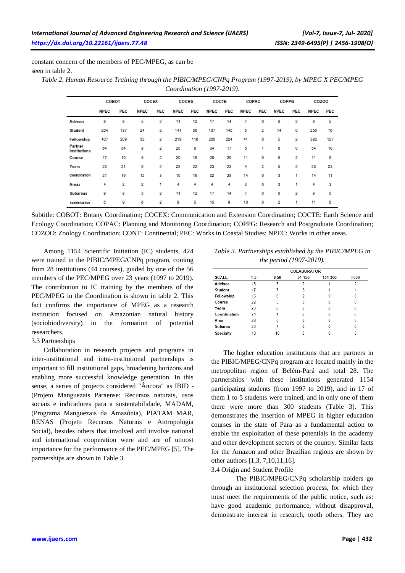constant concern of the members of PEC/MPEG, as can be seen in table 2.

| Table 2. Human Resource Training through the PIBIC/MPEG/CNPq Program (1997-2019), by MPEG X PEC/MPEG |
|------------------------------------------------------------------------------------------------------|
| <i>Coordination (1997-2019).</i>                                                                     |

|                         | COBOT |     | COCEX       |     | COCHS       |     | COCTE       |     | COPAC       |     | COPPG       |     | COZOO |     |
|-------------------------|-------|-----|-------------|-----|-------------|-----|-------------|-----|-------------|-----|-------------|-----|-------|-----|
|                         | NPEC  | PEC | <b>NPEC</b> | PEC | <b>NPEC</b> | PEC | <b>NPEC</b> | PEC | <b>NPEC</b> | PEC | <b>NPEC</b> | PEC | NPEC  | PEC |
| Advisor                 | 9     | 8   | 5           | 2   | 11          | 12  | 17          | 14  | 7           | 0   | 6           | 2   | 9     | 5   |
| Student                 | 204   | 137 | 24          | 2   | 141         | 66  | 137         | 145 | 5           | 2   | 14          | 0   | 256   | 76  |
| Fellowship              | 407   | 209 | 33          | 2   | 219         | 116 | 200         | 224 | 41          | 0   | 5           | 2   | 392   | 127 |
| Partner<br>institutions | 64    | 54  | 8           | 2   | 20          | 8   | 34          | 17  | 6           |     | 6           | 0   | 54    | 10  |
| Course                  | 17    | 10  | 5           | 2   | 20          | 16  | 20          | 20  | 11          | 0   | 5           | 2   | 11    | 6   |
| Years                   | 23    | 21  | g           | 2   | 23          | 22  | 23          | 23  | 4           | 2   | 5           | 2   | 23    | 23  |
| Coordination            | 21    | 19  | 12          | 3   | 10          | 19  | 32          | 28  | 14          | 0   | 3           | 1   | 14    | 11  |
| Areas                   | 4     | 2   | 2           | 1   | 4           | 4   | 4           | 4   | 3           | 0   | 3           | 1   | 4     | 3   |
| Subareas                | 9     | 8   | 5           | 2   | 11          | 12  | 17          | 14  | 7           | 0   | 6           | 2   | 9     | 5   |
| <b>Specialization</b>   | 6     | 9   | 6           | 2   | 9           | 5   | 15          | 9   | 10          | 0   | 2           | 1   | 11    | 6   |

Subtitle: COBOT: Botany Coordination; COCEX: Communication and Extension Coordination; COCTE: Earth Science and Ecology Coordination; COPAC: Planning and Monitoring Coordination; COPPG: Research and Postgraduate Coordination; COZOO: Zoology Coordination; CONT: Continental; PEC: Works in Coastal Studies; NPEC: Works in other areas.

Among 1154 Scientific Initiation (IC) students, 424 were trained in the PIBIC/MPEG/CNPq program, coming from 28 institutions (44 courses), guided by one of the 56 members of the PEC/MPEG over 23 years (1997 to 2019). The contribution to IC training by the members of the PEC/MPEG in the Coordination is shown in table 2. This fact confirms the importance of MPEG as a research institution focused on Amazonian natural history (sociobiodiversity) in the formation of potential researchers.

## 3.3 Partnerships

Collaboration in research projects and programs in inter-institutional and intra-institutional partnerships is important to fill institutional gaps, broadening horizons and enabling more successful knowledge generation. In this sense, a series of projects considered "Âncora" as IBID - (Projeto Manguezais Paraense: Recursos naturais, usos sociais e indicadores para a sustentabilidade, MADAM, (Programa Manguezais da Amazônia), PIATAM MAR, RENAS (Projeto Recursos Naturais e Antropologia Social), besides others that involved and involve national and international cooperation were and are of utmost importance for the performance of the PEC/MPEG [5]. The partnerships are shown in Table 3.

*Table 3. Partnerships established by the PIBIC/MPEG in the period (1997-2019).*

|                  | <b>COLABORATOR</b> |        |        |         |      |  |  |  |  |  |  |
|------------------|--------------------|--------|--------|---------|------|--|--|--|--|--|--|
| <b>SCALE</b>     | $1-5$              | $6-50$ | 51-150 | 151-300 | >300 |  |  |  |  |  |  |
| Advisor          | 16                 |        | 2      |         | 2    |  |  |  |  |  |  |
| Student          | 17                 |        | 3      |         |      |  |  |  |  |  |  |
| Fellowship       | 16                 | 6      | 2      |         |      |  |  |  |  |  |  |
| Course           | 22                 | 5      |        |         |      |  |  |  |  |  |  |
| Years            | 20                 | 8      |        |         |      |  |  |  |  |  |  |
| Coordination     | 24                 | 4      |        |         |      |  |  |  |  |  |  |
| Area             | 28                 | 0      |        |         |      |  |  |  |  |  |  |
| Subarea          | 20                 |        |        |         |      |  |  |  |  |  |  |
| <b>Specialty</b> | 18                 | 10     |        |         |      |  |  |  |  |  |  |

The higher education institutions that are partners in the PIBIC/MPEG/CNPq program are located mainly in the metropolitan region of Belém-Pará and total 28. The partnerships with these institutions generated 1154 participating students (from 1997 to 2019), and in 17 of them 1 to 5 students were trained, and in only one of them there were more than 300 students (Table 3). This demonstrates the insertion of MPEG in higher education courses in the state of Para as a fundamental action to enable the exploitation of these potentials in the academy and other development sectors of the country. Similar facts for the Amazon and other Brazilian regions are shown by other authors [1,3, 7,10,11,16].

## 3.4 Origin and Student Profile

The PIBIC/MPEG/CNPq scholarship holders go through an institutional selection process, for which they must meet the requirements of the public notice, such as: have good academic performance, without disapproval, demonstrate interest in research, tooth others. They are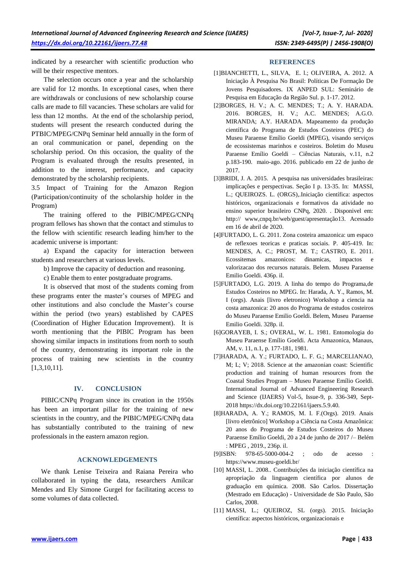indicated by a researcher with scientific production who will be their respective mentors.

The selection occurs once a year and the scholarship are valid for 12 months. In exceptional cases, when there are withdrawals or conclusions of new scholarship course calls are made to fill vacancies. These scholars are valid for less than 12 months. At the end of the scholarship period, students will present the research conducted during the PTBIC/MPEG/CNPq Seminar held annually in the form of an oral communication or panel, depending on the scholarship period. On this occasion, the quality of the Program is evaluated through the results presented, in addition to the interest, performance, and capacity demonstrated by the scholarship recipients.

3.5 Impact of Training for the Amazon Region (Participation/continuity of the scholarship holder in the Program)

The training offered to the PIBIC/MPEG/CNPq program fellows has shown that the contact and stimulus to the fellow with scientific research leading him/her to the academic universe is important:

a) Expand the capacity for interaction between students and researchers at various levels.

b) Improve the capacity of deduction and reasoning.

c) Enable them to enter postgraduate programs.

It is observed that most of the students coming from these programs enter the master's courses of MPEG and other institutions and also conclude the Master's course within the period (two years) established by CAPES (Coordination of Higher Education Improvement). It is worth mentioning that the PIBIC Program has been showing similar impacts in institutions from north to south of the country, demonstrating its important role in the process of training new scientists in the country [1,3,10,11].

## **IV. CONCLUSION**

PIBIC/CNPq Program since its creation in the 1950s has been an important pillar for the training of new scientists in the country, and the PIBIC/MPEG/CNPq data has substantially contributed to the training of new professionals in the eastern amazon region.

## **ACKNOWLEDGEMENTS**

We thank Lenise Teixeira and Raiana Pereira who collaborated in typing the data, researchers Amilcar Mendes and Ely Simone Gurgel for facilitating access to some volumes of data collected.

#### **REFERENCES**

- [1]BIANCHETTI, L., SILVA, E. l.; OLIVEIRA, A. 2012. A Iniciação À Pesquisa No Brasil: Políticas De Formação De Jovens Pesquisadores. IX ANPED SUL: Seminário de Pesquisa em Educação da Região Sul. p. 1-17. 2012.
- [2]BORGES, H. V.; A. C. MENDES; T.; A. Y. HARADA. 2016. BORGES, H. V.; A.C. MENDES; A.G.O. MIRANDA; A.Y. HARADA. Mapeamento da produção científica do Programa de Estudos Costeiros (PEC) do Museu Paraense Emílio Goeldi (MPEG), visando serviços de ecossistemas marinhos e costeiros. Boletim do Museu Paraense Emílio Goeldi – Ciências Naturais, v.11, n.2 p.183-190. maio-ago. 2016. publicado em 22 de junho de 2017.
- [3]BRIDI, J. A. 2015. A pesquisa nas universidades brasileiras: implicações e perspectivas. Seção I p. 13-35. In: MASSI, L.; QUEIROZS. L. (ORGS),.Iniciação científica: aspectos históricos, organizacionais e formativos da atividade no ensino superior brasileiro CNPq, 2020. . Disponivel em: http:// www,cnpq.br/web/guest/apresentação13. Acessado em 16 de abril de 2020.
- [4]FURTADO, L. G. 2011. Zona costeira amazonica: um espaco de reflexoes teoricas e praticas sociais. P. 405-419. In: MENDES, A. C.; PROST, M. T.; CASTRO, E. 2011. Ecossitemas amazonicos: dinamicas, impactos e valorizacao dos recursos naturais. Belem. Museu Paraense Emilio Goeldi. 436p. il.
- [5]FURTADO, L.G. 2019. A linha do tempo do Programa,de Estudos Costeiros no MPEG. In: Harada, A. Y., Ramos, M. I (orgs). Anais [livro eletronico) Workshop a ciencia na costa amazonica: 20 anos do Programa de estudos costeiros do Museu Paraense Emilio Goeldi. Belem, Museu Paraense Emilio Goeldi. 328p. il.
- [6]GORAYEB, I. S.; OVERAL, W. L. 1981. Entomologia do Museu Paraense Emílio Goeldi. Acta Amazonica, Manaus, AM, v. 11, n.1, p. 177-181, 1981.
- [7]HARADA, A. Y.; FURTADO, L. F. G.; MARCELIANAO, M; L; V; 2018. Science at the amazonian coast: Scientific production and training of human resources from the Coastal Studies Program – Museu Paraense Emílio Goeldi. International Journal of Advanced Engineering Research and Science (IJAERS) Vol-5, Issue-9, p. 336-349, Sept-2018 https://dx.doi.org/10.22161/ijaers.5.9.40.
- [8]HARADA, A. Y.; RAMOS, M. I. F.(Orgs). 2019. Anais [livro eletrônico] Workshop a Ciência na Costa Amazônica: 20 anos do Programa de Estudos Costeiros do Museu Paraense Emílio Goeldi, 20 a 24 de junho de 2017 /– Belém : MPEG , 2019., 236p. il.
- [9]ISBN: 978-65-5000-004-2 ; odo de acesso : https://www.museu-goeldi.br/
- [10] MASSI, L. 2008.. Contribuições da iniciação científica na apropriação da linguagem científica por alunos de graduação em química. 2008. São Carlos. Dissertação (Mestrado em Educação) - Universidade de São Paulo, São Carlos, 2008.
- [11] MASSI, L.; QUEIROZ, SL (orgs). 2015. Iniciação científica: aspectos históricos, organizacionais e